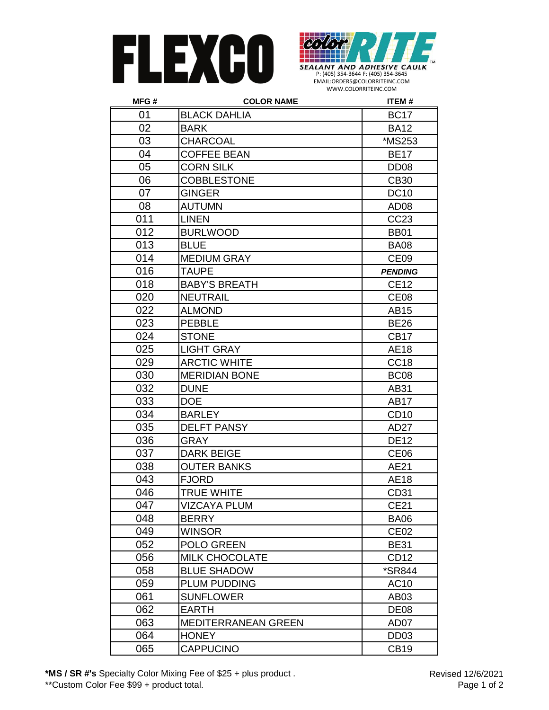



| MFG# | <b>COLOR NAME</b>          | <b>ITEM#</b>     |
|------|----------------------------|------------------|
| 01   | <b>BLACK DAHLIA</b>        | <b>BC17</b>      |
| 02   | <b>BARK</b>                | <b>BA12</b>      |
| 03   | <b>CHARCOAL</b>            | *MS253           |
| 04   | <b>COFFEE BEAN</b>         | <b>BE17</b>      |
| 05   | <b>CORN SILK</b>           | DD <sub>08</sub> |
| 06   | <b>COBBLESTONE</b>         | <b>CB30</b>      |
| 07   | <b>GINGER</b>              | <b>DC10</b>      |
| 08   | <b>AUTUMN</b>              | AD <sub>08</sub> |
| 011  | <b>LINEN</b>               | CC23             |
| 012  | <b>BURLWOOD</b>            | <b>BB01</b>      |
| 013  | <b>BLUE</b>                | <b>BA08</b>      |
| 014  | <b>MEDIUM GRAY</b>         | CE <sub>09</sub> |
| 016  | <b>TAUPE</b>               | <b>PENDING</b>   |
| 018  | <b>BABY'S BREATH</b>       | <b>CE12</b>      |
| 020  | <b>NEUTRAIL</b>            | CE <sub>08</sub> |
| 022  | <b>ALMOND</b>              | <b>AB15</b>      |
| 023  | <b>PEBBLE</b>              | <b>BE26</b>      |
| 024  | <b>STONE</b>               | CB <sub>17</sub> |
| 025  | <b>LIGHT GRAY</b>          | <b>AE18</b>      |
| 029  | <b>ARCTIC WHITE</b>        | CC <sub>18</sub> |
| 030  | <b>MERIDIAN BONE</b>       | BC <sub>08</sub> |
| 032  | <b>DUNE</b>                | AB31             |
| 033  | <b>DOE</b>                 | AB17             |
| 034  | <b>BARLEY</b>              | CD <sub>10</sub> |
| 035  | <b>DELFT PANSY</b>         | AD27             |
| 036  | <b>GRAY</b>                | <b>DE12</b>      |
| 037  | <b>DARK BEIGE</b>          | CE <sub>06</sub> |
| 038  | <b>OUTER BANKS</b>         | AE21             |
| 043  | <b>FJORD</b>               | <b>AE18</b>      |
| 046  | <b>TRUE WHITE</b>          | CD31             |
| 047  | <b>VIZCAYA PLUM</b>        | <b>CE21</b>      |
| 048  | <b>BERRY</b>               | <b>BA06</b>      |
| 049  | <b>WINSOR</b>              | CE <sub>02</sub> |
| 052  | POLO GREEN                 | <b>BE31</b>      |
| 056  | <b>MILK CHOCOLATE</b>      | CD <sub>12</sub> |
| 058  | <b>BLUE SHADOW</b>         | *SR844           |
| 059  | <b>PLUM PUDDING</b>        | AC10             |
| 061  | <b>SUNFLOWER</b>           | AB03             |
| 062  | <b>EARTH</b>               | DE <sub>08</sub> |
| 063  | <b>MEDITERRANEAN GREEN</b> | AD07             |
| 064  | <b>HONEY</b>               | DD <sub>03</sub> |
| 065  | <b>CAPPUCINO</b>           | <b>CB19</b>      |

**\*MS / SR #'s** Specialty Color Mixing Fee of \$25 + plus product . \*\*Custom Color Fee \$99 + product total.